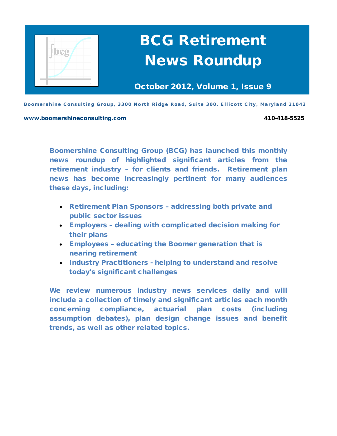

October 2012, Volume 1, Issue 9

Boomershine Consulting Group, 3300 North Ridge Road, Suite 300, Ellicott City, Maryland 21043

[www.boomershineconsulting.com](http://www.boomershineconsulting.com/) 410-418-5525

Boomershine Consulting Group (BCG) has launched this monthly news roundup of highlighted significant articles from the retirement industry – for clients and friends. Retirement plan news has become increasingly pertinent for many audiences these days, including:

- Retirement Plan Sponsors addressing both private and public sector issues
- Employers dealing with complicated decision making for their plans
- Employees educating the Boomer generation that is nearing retirement
- Industry Practitioners helping to understand and resolve today's significant challenges

We review numerous industry news services daily and will include a collection of timely and significant articles each month concerning compliance, actuarial plan costs (including assumption debates), plan design change issues and benefit trends, as well as other related topics.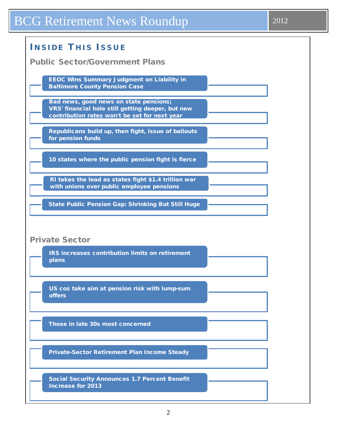| <b>INSIDE THIS ISSUE</b>                                                                                                                     |
|----------------------------------------------------------------------------------------------------------------------------------------------|
| <b>Public Sector/Government Plans</b>                                                                                                        |
| <b>EEOC Wins Summary Judgment on Liability in</b><br><b>Baltimore County Pension Case</b>                                                    |
| Bad news, good news on state pensions;<br>VRS' financial hole still getting deeper, but new<br>contribution rates won't be set for next year |
| Republicans build up, then fight, issue of bailouts<br>for pension funds                                                                     |
| 10 states where the public pension fight is fierce                                                                                           |
| RI takes the lead as states fight \$1.4 trillion war<br>with unions over public employee pensions                                            |
| <b>State Public Pension Gap: Shrinking But Still Huge</b>                                                                                    |
|                                                                                                                                              |
| <b>Private Sector</b>                                                                                                                        |
| IRS increases contribution limits on retirement<br>plans                                                                                     |
|                                                                                                                                              |
| US cos take aim at pension risk with lump-sum<br><b>offers</b>                                                                               |
| Those in late 30s most concerned                                                                                                             |
|                                                                                                                                              |
| <b>Private-Sector Retirement Plan Income Steady</b>                                                                                          |
| <b>Social Security Announces 1.7 Percent Benefit</b><br><b>Increase for 2013</b>                                                             |

 $\mathsf{l}$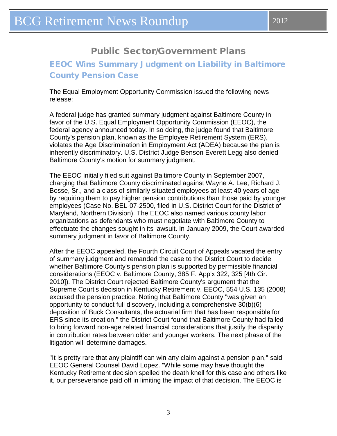# Public Sector/Government Plans

## <span id="page-2-0"></span>EEOC Wins Summary Judgment on Liability in Baltimore County Pension Case

The Equal Employment Opportunity Commission issued the following news release:

A federal judge has granted summary judgment against Baltimore County in favor of the U.S. Equal Employment Opportunity Commission (EEOC), the federal agency announced today. In so doing, the judge found that Baltimore County's pension plan, known as the Employee Retirement System (ERS), violates the Age Discrimination in Employment Act (ADEA) because the plan is inherently discriminatory. U.S. District Judge Benson Everett Legg also denied Baltimore County's motion for summary judgment.

The EEOC initially filed suit against Baltimore County in September 2007, charging that Baltimore County discriminated against Wayne A. Lee, Richard J. Bosse, Sr., and a class of similarly situated employees at least 40 years of age by requiring them to pay higher pension contributions than those paid by younger employees (Case No. BEL-07-2500, filed in U.S. District Court for the District of Maryland, Northern Division). The EEOC also named various county labor organizations as defendants who must negotiate with Baltimore County to effectuate the changes sought in its lawsuit. In January 2009, the Court awarded summary judgment in favor of Baltimore County.

After the EEOC appealed, the Fourth Circuit Court of Appeals vacated the entry of summary judgment and remanded the case to the District Court to decide whether Baltimore County's pension plan is supported by permissible financial considerations (EEOC v. Baltimore County, 385 F. App'x 322, 325 [4th Cir. 2010]). The District Court rejected Baltimore County's argument that the Supreme Court's decision in Kentucky Retirement v. EEOC, 554 U.S. 135 (2008) excused the pension practice. Noting that Baltimore County "was given an opportunity to conduct full discovery, including a comprehensive 30(b)(6) deposition of Buck Consultants, the actuarial firm that has been responsible for ERS since its creation," the District Court found that Baltimore County had failed to bring forward non-age related financial considerations that justify the disparity in contribution rates between older and younger workers. The next phase of the litigation will determine damages.

"It is pretty rare that any plaintiff can win any claim against a pension plan," said EEOC General Counsel David Lopez. "While some may have thought the Kentucky Retirement decision spelled the death knell for this case and others like it, our perseverance paid off in limiting the impact of that decision. The EEOC is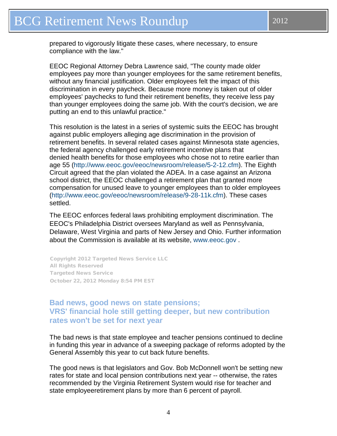<span id="page-3-0"></span>prepared to vigorously litigate these cases, where necessary, to ensure compliance with the law."

EEOC Regional Attorney Debra Lawrence said, "The county made older employees pay more than younger employees for the same retirement benefits, without any financial justification. Older employees felt the impact of this discrimination in every paycheck. Because more money is taken out of older employees' paychecks to fund their retirement benefits, they receive less pay than younger employees doing the same job. With the court's decision, we are putting an end to this unlawful practice."

This resolution is the latest in a series of systemic suits the EEOC has brought against public employers alleging age discrimination in the provision of retirement benefits. In several related cases against Minnesota state agencies, the federal agency challenged early retirement incentive plans that denied health benefits for those employees who chose not to retire earlier than age 55 [\(http://www.eeoc.gov/eeoc/newsroom/release/5-2-12.cfm\)](http://www.eeoc.gov/eeoc/newsroom/release/5-2-12.cfm). The Eighth Circuit agreed that the plan violated the ADEA. In a case against an Arizona school district, the EEOC challenged a retirement plan that granted more compensation for unused leave to younger employees than to older employees [\(http://www.eeoc.gov/eeoc/newsroom/release/9-28-11k.cfm\)](http://www.eeoc.gov/eeoc/newsroom/release/9-28-11k.cfm). These cases settled.

The EEOC enforces federal laws prohibiting employment discrimination. The EEOC's Philadelphia District oversees Maryland as well as Pennsylvania, Delaware, West Virginia and parts of New Jersey and Ohio. Further information about the Commission is available at its website, [www.eeoc.gov](http://www.eeoc.gov/) .

Copyright 2012 Targeted News Service LLC All Rights Reserved Targeted News Service October 22, 2012 Monday 8:54 PM EST

#### **Bad news, good news on state pensions; VRS' financial hole still getting deeper, but new contribution rates won't be set for next year**

The bad news is that state employee and teacher pensions continued to decline in funding this year in advance of a sweeping package of reforms adopted by the General Assembly this year to cut back future benefits.

The good news is that legislators and Gov. Bob McDonnell won't be setting new rates for state and local pension contributions next year -- otherwise, the rates recommended by the Virginia Retirement System would rise for teacher and state employeeretirement plans by more than 6 percent of payroll.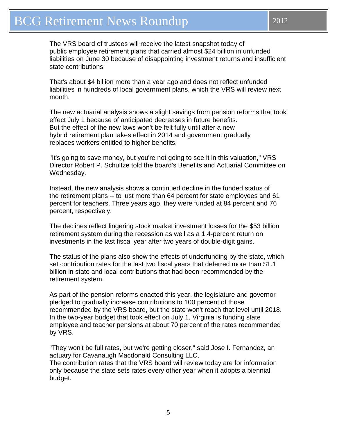The VRS board of trustees will receive the latest snapshot today of public employee retirement plans that carried almost \$24 billion in unfunded liabilities on June 30 because of disappointing investment returns and insufficient state contributions.

That's about \$4 billion more than a year ago and does not reflect unfunded liabilities in hundreds of local government plans, which the VRS will review next month.

The new actuarial analysis shows a slight savings from pension reforms that took effect July 1 because of anticipated decreases in future benefits. But the effect of the new laws won't be felt fully until after a new hybrid retirement plan takes effect in 2014 and government gradually replaces workers entitled to higher benefits.

"It's going to save money, but you're not going to see it in this valuation," VRS Director Robert P. Schultze told the board's Benefits and Actuarial Committee on Wednesday.

Instead, the new analysis shows a continued decline in the funded status of the retirement plans -- to just more than 64 percent for state employees and 61 percent for teachers. Three years ago, they were funded at 84 percent and 76 percent, respectively.

The declines reflect lingering stock market investment losses for the \$53 billion retirement system during the recession as well as a 1.4-percent return on investments in the last fiscal year after two years of double-digit gains.

The status of the plans also show the effects of underfunding by the state, which set contribution rates for the last two fiscal years that deferred more than \$1.1 billion in state and local contributions that had been recommended by the retirement system.

As part of the pension reforms enacted this year, the legislature and governor pledged to gradually increase contributions to 100 percent of those recommended by the VRS board, but the state won't reach that level until 2018. In the two-year budget that took effect on July 1, Virginia is funding state employee and teacher pensions at about 70 percent of the rates recommended by VRS.

"They won't be full rates, but we're getting closer," said Jose I. Fernandez, an actuary for Cavanaugh Macdonald Consulting LLC. The contribution rates that the VRS board will review today are for information only because the state sets rates every other year when it adopts a biennial budget.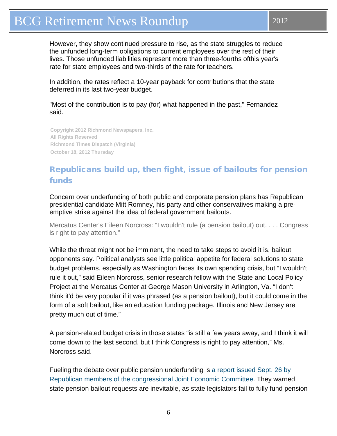<span id="page-5-0"></span>However, they show continued pressure to rise, as the state struggles to reduce the unfunded long-term obligations to current employees over the rest of their lives. Those unfunded liabilities represent more than three-fourths ofthis year's rate for state employees and two-thirds of the rate for teachers.

In addition, the rates reflect a 10-year payback for contributions that the state deferred in its last two-year budget.

"Most of the contribution is to pay (for) what happened in the past," Fernandez said.

**Copyright 2012 Richmond Newspapers, Inc. All Rights Reserved Richmond Times Dispatch (Virginia) October 18, 2012 Thursday**

# Republicans build up, then fight, issue of bailouts for pension funds

Concern over underfunding of both public and corporate pension plans has Republican presidential candidate Mitt Romney, his party and other conservatives making a preemptive strike against the idea of federal government bailouts.

Mercatus Center's Eileen Norcross: "I wouldn't rule (a pension bailout) out. . . . Congress is right to pay attention."

While the threat might not be imminent, the need to take steps to avoid it is, bailout opponents say. Political analysts see little political appetite for federal solutions to state budget problems, especially as Washington faces its own spending crisis, but "I wouldn't rule it out," said Eileen Norcross, senior research fellow with the State and Local Policy Project at the Mercatus Center at George Mason University in Arlington, Va. "I don't think it'd be very popular if it was phrased (as a pension bailout), but it could come in the form of a soft bailout, like an education funding package. Illinois and New Jersey are pretty much out of time."

A pension-related budget crisis in those states "is still a few years away, and I think it will come down to the last second, but I think Congress is right to pay attention," Ms. Norcross said.

Fueling the debate over public pension underfunding is a report [issued](http://www.jec.senate.gov/republicans/public/?a=Files.Serve&File_id=6bdeeee9-4560-4904-bb2e-73cea6de06ab) Sept. 26 by Republican members of the [congressional](http://www.jec.senate.gov/republicans/public/?a=Files.Serve&File_id=6bdeeee9-4560-4904-bb2e-73cea6de06ab) Joint Economic Committee. They warned state pension bailout requests are inevitable, as state legislators fail to fully fund pension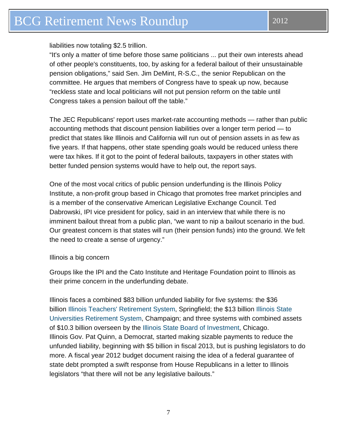liabilities now totaling \$2.5 trillion.

"It's only a matter of time before those same politicians ... put their own interests ahead of other people's constituents, too, by asking for a federal bailout of their unsustainable pension obligations," said Sen. Jim DeMint, R-S.C., the senior Republican on the committee. He argues that members of Congress have to speak up now, because "reckless state and local politicians will not put pension reform on the table until Congress takes a pension bailout off the table."

The JEC Republicans' report uses market-rate accounting methods — rather than public accounting methods that discount pension liabilities over a longer term period — to predict that states like Illinois and California will run out of pension assets in as few as five years. If that happens, other state spending goals would be reduced unless there were tax hikes. If it got to the point of federal bailouts, taxpayers in other states with better funded pension systems would have to help out, the report says.

One of the most vocal critics of public pension underfunding is the Illinois Policy Institute, a non-profit group based in Chicago that promotes free market principles and is a member of the conservative American Legislative Exchange Council. Ted Dabrowski, IPI vice president for policy, said in an interview that while there is no imminent bailout threat from a public plan, "we want to nip a bailout scenario in the bud. Our greatest concern is that states will run (their pension funds) into the ground. We felt the need to create a sense of urgency."

#### Illinois a big concern

Groups like the IPI and the Cato Institute and Heritage Foundation point to Illinois as their prime concern in the underfunding debate.

Illinois faces a combined \$83 billion unfunded liability for five systems: the \$36 billion Illinois Teachers' [Retirement](http://www.pionline.com/section/researchcenter-profiles&dir=plan-sponsors&page=db&R=429730) System, Springfield; the \$13 billion [Illinois](http://www.pionline.com/section/researchcenter-profiles&dir=plan-sponsors&page=db&R=429733) State [Universities](http://www.pionline.com/section/researchcenter-profiles&dir=plan-sponsors&page=db&R=429733) Retirement System, Champaign; and three systems with combined assets of \$10.3 billion overseen by the Illinois State Board of [Investment,](http://www.pionline.com/section/researchcenter-profiles&dir=plan-sponsors&page=db&R=429732) Chicago. Illinois Gov. Pat Quinn, a Democrat, started making sizable payments to reduce the unfunded liability, beginning with \$5 billion in fiscal 2013, but is pushing legislators to do more. A fiscal year 2012 budget document raising the idea of a federal guarantee of state debt prompted a swift response from House Republicans in a letter to Illinois legislators "that there will not be any legislative bailouts."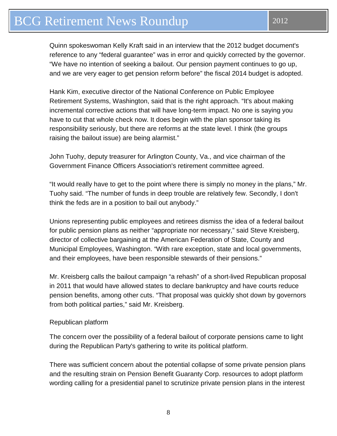Quinn spokeswoman Kelly Kraft said in an interview that the 2012 budget document's reference to any "federal guarantee" was in error and quickly corrected by the governor. "We have no intention of seeking a bailout. Our pension payment continues to go up, and we are very eager to get pension reform before" the fiscal 2014 budget is adopted.

Hank Kim, executive director of the National Conference on Public Employee Retirement Systems, Washington, said that is the right approach. "It's about making incremental corrective actions that will have long-term impact. No one is saying you have to cut that whole check now. It does begin with the plan sponsor taking its responsibility seriously, but there are reforms at the state level. I think (the groups raising the bailout issue) are being alarmist."

John Tuohy, deputy treasurer for Arlington County, Va., and vice chairman of the Government Finance Officers Association's retirement committee agreed.

"It would really have to get to the point where there is simply no money in the plans," Mr. Tuohy said. "The number of funds in deep trouble are relatively few. Secondly, I don't think the feds are in a position to bail out anybody."

Unions representing public employees and retirees dismiss the idea of a federal bailout for public pension plans as neither "appropriate nor necessary," said Steve Kreisberg, director of collective bargaining at the American Federation of State, County and Municipal Employees, Washington. "With rare exception, state and local governments, and their employees, have been responsible stewards of their pensions."

Mr. Kreisberg calls the bailout campaign "a rehash" of a short-lived Republican proposal in 2011 that would have allowed states to declare bankruptcy and have courts reduce pension benefits, among other cuts. "That proposal was quickly shot down by governors from both political parties," said Mr. Kreisberg.

#### Republican platform

The concern over the possibility of a federal bailout of corporate pensions came to light during the Republican Party's gathering to write its political platform.

There was sufficient concern about the potential collapse of some private pension plans and the resulting strain on Pension Benefit Guaranty Corp. resources to adopt platform wording calling for a presidential panel to scrutinize private pension plans in the interest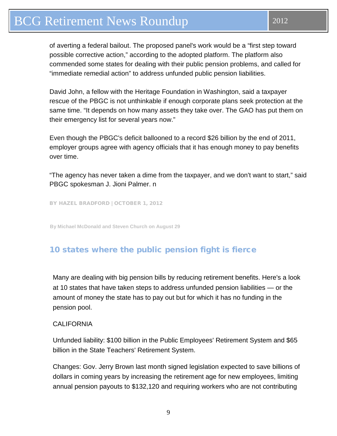<span id="page-8-0"></span>of averting a federal bailout. The proposed panel's work would be a "first step toward possible corrective action," according to the adopted platform. The platform also commended some states for dealing with their public pension problems, and called for "immediate remedial action" to address unfunded public pension liabilities.

David John, a fellow with the Heritage Foundation in Washington, said a taxpayer rescue of the PBGC is not unthinkable if enough corporate plans seek protection at the same time. "It depends on how many assets they take over. The GAO has put them on their emergency list for several years now."

Even though the PBGC's deficit ballooned to a record \$26 billion by the end of 2011, employer groups agree with agency officials that it has enough money to pay benefits over time.

"The agency has never taken a dime from the taxpayer, and we don't want to start," said PBGC spokesman J. Jioni Palmer. n

BY HAZEL [BRADFORD](http://www.pionline.com/staff/hbradford) | OCTOBER 1, 2012

**By Michael McDonald and Steven Church on August 29**

### 10 states where the public pension fight is fierce

Many are dealing with big pension bills by reducing retirement benefits. Here's a look at 10 states that have taken steps to address unfunded pension liabilities — or the amount of money the state has to pay out but for which it has no funding in the pension pool.

#### **CALIFORNIA**

Unfunded liability: \$100 billion in the Public Employees' Retirement System and \$65 billion in the State Teachers' Retirement System.

Changes: Gov. Jerry Brown last month signed legislation expected to save billions of dollars in coming years by increasing the retirement age for new employees, limiting annual pension payouts to \$132,120 and requiring workers who are not contributing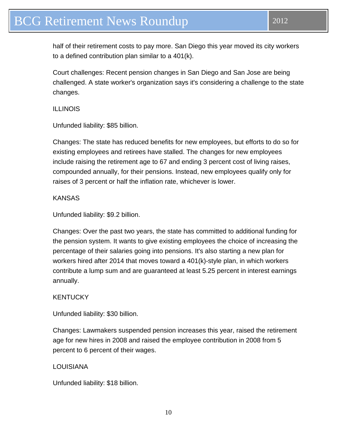half of their retirement costs to pay more. San Diego this year moved its city workers to a defined contribution plan similar to a 401(k).

Court challenges: Recent pension changes in San Diego and San Jose are being challenged. A state worker's organization says it's considering a challenge to the state changes.

ILLINOIS

Unfunded liability: \$85 billion.

Changes: The state has reduced benefits for new employees, but efforts to do so for existing employees and retirees have stalled. The changes for new employees include raising the retirement age to 67 and ending 3 percent cost of living raises, compounded annually, for their pensions. Instead, new employees qualify only for raises of 3 percent or half the inflation rate, whichever is lower.

**KANSAS** 

Unfunded liability: \$9.2 billion.

Changes: Over the past two years, the state has committed to additional funding for the pension system. It wants to give existing employees the choice of increasing the percentage of their salaries going into pensions. It's also starting a new plan for workers hired after 2014 that moves toward a 401(k)-style plan, in which workers contribute a lump sum and are guaranteed at least 5.25 percent in interest earnings annually.

#### **KENTUCKY**

Unfunded liability: \$30 billion.

Changes: Lawmakers suspended pension increases this year, raised the retirement age for new hires in 2008 and raised the employee contribution in 2008 from 5 percent to 6 percent of their wages.

#### LOUISIANA

Unfunded liability: \$18 billion.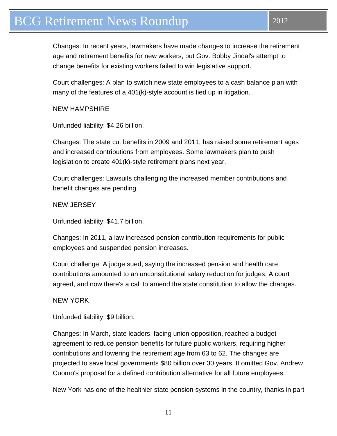Changes: In recent years, lawmakers have made changes to increase the retirement age and retirement benefits for new workers, but Gov. Bobby Jindal's attempt to change benefits for existing workers failed to win legislative support.

Court challenges: A plan to switch new state employees to a cash balance plan with many of the features of a 401(k)-style account is tied up in litigation.

NEW HAMPSHIRE

Unfunded liability: \$4.26 billion.

Changes: The state cut benefits in 2009 and 2011, has raised some retirement ages and increased contributions from employees. Some lawmakers plan to push legislation to create 401(k)-style retirement plans next year.

Court challenges: Lawsuits challenging the increased member contributions and benefit changes are pending.

NEW JERSEY

Unfunded liability: \$41.7 billion.

Changes: In 2011, a law increased pension contribution requirements for public employees and suspended pension increases.

Court challenge: A judge sued, saying the increased pension and health care contributions amounted to an unconstitutional salary reduction for judges. A court agreed, and now there's a call to amend the state constitution to allow the changes.

NEW YORK

Unfunded liability: \$9 billion.

Changes: In March, state leaders, facing union opposition, reached a budget agreement to reduce pension benefits for future public workers, requiring higher contributions and lowering the retirement age from 63 to 62. The changes are projected to save local governments \$80 billion over 30 years. It omitted Gov. Andrew Cuomo's proposal for a defined contribution alternative for all future employees.

New York has one of the healthier state pension systems in the country, thanks in part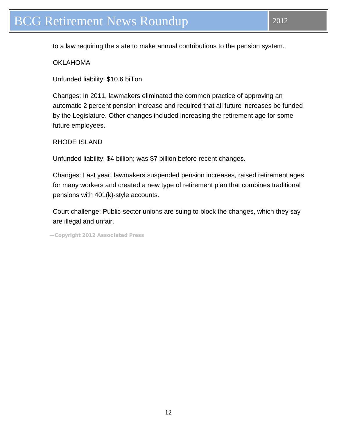to a law requiring the state to make annual contributions to the pension system.

OKLAHOMA

Unfunded liability: \$10.6 billion.

Changes: In 2011, lawmakers eliminated the common practice of approving an automatic 2 percent pension increase and required that all future increases be funded by the Legislature. Other changes included increasing the retirement age for some future employees.

RHODE ISLAND

Unfunded liability: \$4 billion; was \$7 billion before recent changes.

Changes: Last year, lawmakers suspended pension increases, raised retirement ages for many workers and created a new type of retirement plan that combines traditional pensions with 401(k)-style accounts.

Court challenge: Public-sector unions are suing to block the changes, which they say are illegal and unfair.

—Copyright 2012 Associated Press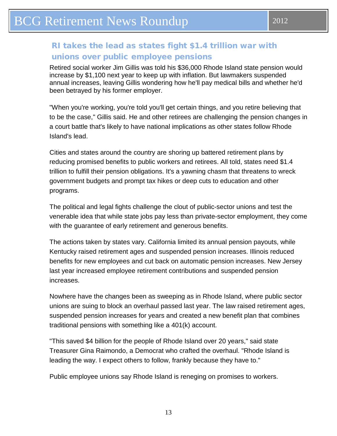## <span id="page-12-0"></span>RI takes the lead as states fight \$1.4 trillion war with unions over public employee pensions

Retired social worker Jim Gillis was told his \$36,000 Rhode Island state pension would increase by \$1,100 next year to keep up with inflation. But lawmakers suspended annual increases, leaving Gillis wondering how he'll pay medical bills and whether he'd been betrayed by his former employer.

"When you're working, you're told you'll get certain things, and you retire believing that to be the case," Gillis said. He and other retirees are challenging the pension changes in a court battle that's likely to have national implications as other states follow Rhode Island's lead.

Cities and states around the country are shoring up battered retirement plans by reducing promised benefits to public workers and retirees. All told, states need \$1.4 trillion to fulfill their pension obligations. It's a yawning chasm that threatens to wreck government budgets and prompt tax hikes or deep cuts to education and other programs.

The political and legal fights challenge the clout of public-sector unions and test the venerable idea that while state jobs pay less than private-sector employment, they come with the guarantee of early retirement and generous benefits.

The actions taken by states vary. California limited its annual pension payouts, while Kentucky raised retirement ages and suspended pension increases. Illinois reduced benefits for new employees and cut back on automatic pension increases. New Jersey last year increased employee retirement contributions and suspended pension increases.

Nowhere have the changes been as sweeping as in Rhode Island, where public sector unions are suing to block an overhaul passed last year. The law raised retirement ages, suspended pension increases for years and created a new benefit plan that combines traditional pensions with something like a 401(k) account.

"This saved \$4 billion for the people of Rhode Island over 20 years," said state Treasurer Gina Raimondo, a Democrat who crafted the overhaul. "Rhode Island is leading the way. I expect others to follow, frankly because they have to."

Public employee unions say Rhode Island is reneging on promises to workers.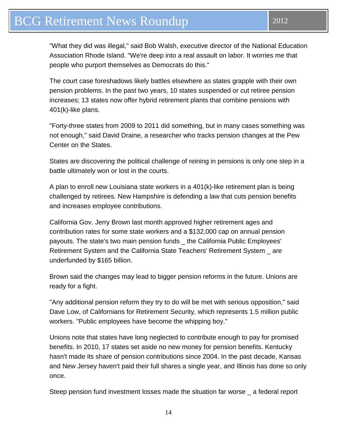"What they did was illegal," said Bob Walsh, executive director of the National Education Association Rhode Island. "We're deep into a real assault on labor. It worries me that people who purport themselves as Democrats do this."

The court case foreshadows likely battles elsewhere as states grapple with their own pension problems. In the past two years, 10 states suspended or cut retiree pension increases; 13 states now offer hybrid retirement plants that combine pensions with 401(k)-like plans.

"Forty-three states from 2009 to 2011 did something, but in many cases something was not enough," said David Draine, a researcher who tracks pension changes at the Pew Center on the States.

States are discovering the political challenge of reining in pensions is only one step in a battle ultimately won or lost in the courts.

A plan to enroll new Louisiana state workers in a 401(k)-like retirement plan is being challenged by retirees. New Hampshire is defending a law that cuts pension benefits and increases employee contributions.

California Gov. Jerry Brown last month approved higher retirement ages and contribution rates for some state workers and a \$132,000 cap on annual pension payouts. The state's two main pension funds \_ the California Public Employees' Retirement System and the California State Teachers' Retirement System \_ are underfunded by \$165 billion.

Brown said the changes may lead to bigger pension reforms in the future. Unions are ready for a fight.

"Any additional pension reform they try to do will be met with serious opposition," said Dave Low, of Californians for Retirement Security, which represents 1.5 million public workers. "Public employees have become the whipping boy."

Unions note that states have long neglected to contribute enough to pay for promised benefits. In 2010, 17 states set aside no new money for pension benefits. Kentucky hasn't made its share of pension contributions since 2004. In the past decade, Kansas and New Jersey haven't paid their full shares a single year, and Illinois has done so only once.

Steep pension fund investment losses made the situation far worse \_ a federal report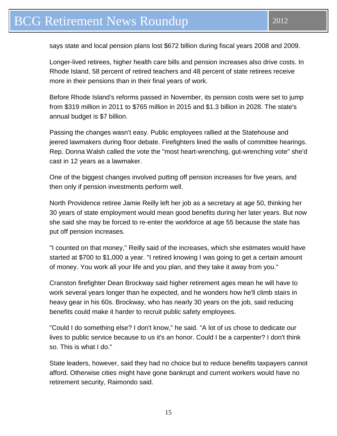says state and local pension plans lost \$672 billion during fiscal years 2008 and 2009.

Longer-lived retirees, higher health care bills and pension increases also drive costs. In Rhode Island, 58 percent of retired teachers and 48 percent of state retirees receive more in their pensions than in their final years of work.

Before Rhode Island's reforms passed in November, its pension costs were set to jump from \$319 million in 2011 to \$765 million in 2015 and \$1.3 billion in 2028. The state's annual budget is \$7 billion.

Passing the changes wasn't easy. Public employees rallied at the Statehouse and jeered lawmakers during floor debate. Firefighters lined the walls of committee hearings. Rep. Donna Walsh called the vote the "most heart-wrenching, gut-wrenching vote" she'd cast in 12 years as a lawmaker.

One of the biggest changes involved putting off pension increases for five years, and then only if pension investments perform well.

North Providence retiree Jamie Reilly left her job as a secretary at age 50, thinking her 30 years of state employment would mean good benefits during her later years. But now she said she may be forced to re-enter the workforce at age 55 because the state has put off pension increases.

"I counted on that money," Reilly said of the increases, which she estimates would have started at \$700 to \$1,000 a year. "I retired knowing I was going to get a certain amount of money. You work all your life and you plan, and they take it away from you."

Cranston firefighter Dean Brockway said higher retirement ages mean he will have to work several years longer than he expected, and he wonders how he'll climb stairs in heavy gear in his 60s. Brockway, who has nearly 30 years on the job, said reducing benefits could make it harder to recruit public safety employees.

"Could I do something else? I don't know," he said. "A lot of us chose to dedicate our lives to public service because to us it's an honor. Could I be a carpenter? I don't think so. This is what I do."

State leaders, however, said they had no choice but to reduce benefits taxpayers cannot afford. Otherwise cities might have gone bankrupt and current workers would have no retirement security, Raimondo said.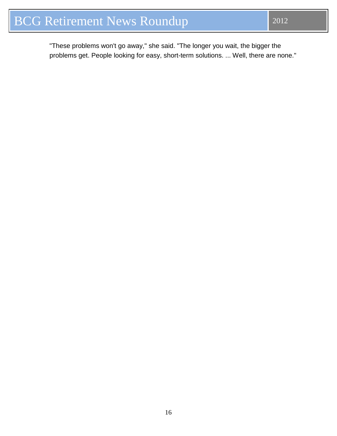"These problems won't go away," she said. "The longer you wait, the bigger the problems get. People looking for easy, short-term solutions. ... Well, there are none."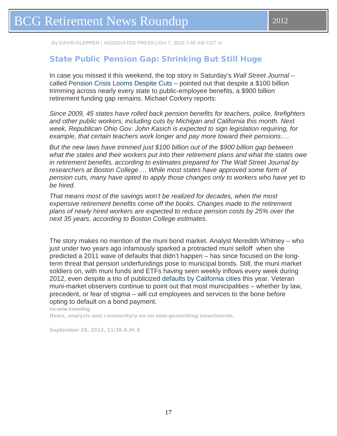<span id="page-16-0"></span>**By DAVID KLEPPER | ASSOCIATED PRESS | Oct 7, 2012 7:45 AM CDT in**

#### State Public Pension Gap: Shrinking But Still Huge

In case you missed it this weekend, the top story in Saturday's *Wall Street Journal* – called [Pension Crisis Looms Despite Cuts](http://online.wsj.com/article/SB10000872396390443890304578010752828935688.html) – pointed out that despite a \$100 billion trimming across nearly every state to public-employee benefits, a \$900 billion retirement funding gap remains. Michael Corkery reports:

*Since 2009, 45 states have rolled back pension benefits for teachers, police, firefighters and other public workers, including cuts by Michigan and California this month. Next week, Republican Ohio Gov. John Kasich is expected to sign legislation requiring, for example, that certain teachers work longer and pay more toward their pensions….*

*But the new laws have trimmed just \$100 billion out of the \$900 billion gap between what the states and their workers put into their retirement plans and what the states owe in retirement benefits, according to estimates prepared for The Wall Street Journal by researchers at Boston College…. While most states have approved some form of pension cuts, many have opted to apply those changes only to workers who have yet to be hired.*

*That means most of the savings won't be realized for decades, when the most expensive retirement benefits come off the books. Changes made to the retirement plans of newly hired workers are expected to reduce pension costs by 25% over the next 35 years, according to Boston College estimates.*

The story makes no mention of the muni bond market. Analyst Meredith Whitney – who just under two years ago infamously sparked a protracted muni selloff when she predicted a 2011 wave of defaults that didn't happen – has since focused on the longterm threat that pension underfundings pose to municipal bonds. Still, the muni market soldiers on, with muni funds and ETFs having seen weekly inflows every week during 2012, even despite a trio of publicized [defaults by California cities](http://blogs.barrons.com/incomeinvesting/2012/08/17/moodys-to-review-california-city-ratings-as-muni-default-risk-rises/) this year. Veteran muni-market observers continue to point out that most municipalities – whether by law, precedent, or fear of stigma – will cut employees and services to the bone before opting to default on a bond payment.

[Income Investing](http://blogs.barrons.com/incomeinvesting/) News, analysis and commentary on income-generating investments.

September 24, 2012, 11:36 A.M. E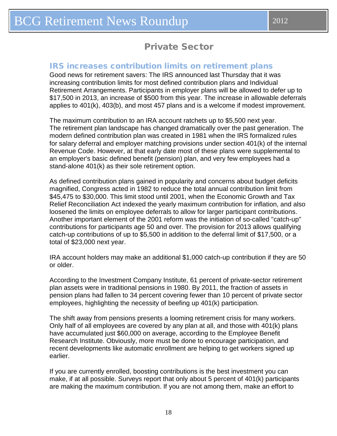#### <span id="page-17-0"></span>IRS increases contribution limits on retirement plans

Good news for retirement savers: The IRS announced last Thursday that it was increasing contribution limits for most defined contribution plans and Individual Retirement Arrangements. Participants in employer plans will be allowed to defer up to \$17,500 in 2013, an increase of \$500 from this year. The increase in allowable deferrals applies to 401(k), 403(b), and most 457 plans and is a welcome if modest improvement.

The maximum contribution to an IRA account ratchets up to \$5,500 next year. The retirement plan landscape has changed dramatically over the past generation. The modern defined contribution plan was created in 1981 when the IRS formalized rules for salary deferral and employer matching provisions under section 401(k) of the internal Revenue Code. However, at that early date most of these plans were supplemental to an employer's basic defined benefit (pension) plan, and very few employees had a stand-alone 401(k) as their sole retirement option.

As defined contribution plans gained in popularity and concerns about budget deficits magnified, Congress acted in 1982 to reduce the total annual contribution limit from \$45,475 to \$30,000. This limit stood until 2001, when the Economic Growth and Tax Relief Reconciliation Act indexed the yearly maximum contribution for inflation, and also loosened the limits on employee deferrals to allow for larger participant contributions. Another important element of the 2001 reform was the initiation of so-called "catch-up" contributions for participants age 50 and over. The provision for 2013 allows qualifying catch-up contributions of up to \$5,500 in addition to the deferral limit of \$17,500, or a total of \$23,000 next year.

IRA account holders may make an additional \$1,000 catch-up contribution if they are 50 or older.

According to the Investment Company Institute, 61 percent of private-sector retirement plan assets were in traditional pensions in 1980. By 2011, the fraction of assets in pension plans had fallen to 34 percent covering fewer than 10 percent of private sector employees, highlighting the necessity of beefing up 401(k) participation.

The shift away from pensions presents a looming retirement crisis for many workers. Only half of all employees are covered by any plan at all, and those with 401(k) plans have accumulated just \$60,000 on average, according to the Employee Benefit Research Institute. Obviously, more must be done to encourage participation, and recent developments like automatic enrollment are helping to get workers signed up earlier.

If you are currently enrolled, boosting contributions is the best investment you can make, if at all possible. Surveys report that only about 5 percent of 401(k) participants are making the maximum contribution. If you are not among them, make an effort to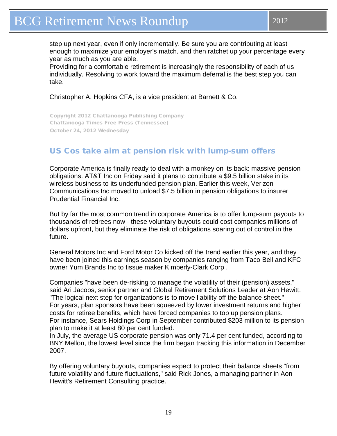<span id="page-18-0"></span>step up next year, even if only incrementally. Be sure you are contributing at least enough to maximize your employer's match, and then ratchet up your percentage every year as much as you are able.

Providing for a comfortable retirement is increasingly the responsibility of each of us individually. Resolving to work toward the maximum deferral is the best step you can take.

Christopher A. Hopkins CFA, is a vice president at Barnett & Co.

Copyright 2012 Chattanooga Publishing Company Chattanooga Times Free Press (Tennessee) October 24, 2012 Wednesday

### US Cos take aim at pension risk with lump-sum offers

Corporate America is finally ready to deal with a monkey on its back: massive pension obligations. AT&T Inc on Friday said it plans to contribute a \$9.5 billion stake in its wireless business to its underfunded pension plan. Earlier this week, Verizon Communications Inc moved to unload \$7.5 billion in pension obligations to insurer Prudential Financial Inc.

But by far the most common trend in corporate America is to offer lump-sum payouts to thousands of retirees now - these voluntary buyouts could cost companies millions of dollars upfront, but they eliminate the risk of obligations soaring out of control in the future.

General Motors Inc and Ford Motor Co kicked off the trend earlier this year, and they have been joined this earnings season by companies ranging from Taco Bell and KFC owner Yum Brands Inc to tissue maker Kimberly-Clark Corp .

Companies "have been de-risking to manage the volatility of their (pension) assets," said Ari Jacobs, senior partner and Global Retirement Solutions Leader at Aon Hewitt. "The logical next step for organizations is to move liability off the balance sheet." For years, plan sponsors have been squeezed by lower investment returns and higher costs for retiree benefits, which have forced companies to top up pension plans. For instance, Sears Holdings Corp in September contributed \$203 million to its pension plan to make it at least 80 per cent funded.

In July, the average US corporate pension was only 71.4 per cent funded, according to BNY Mellon, the lowest level since the firm began tracking this information in December 2007.

By offering voluntary buyouts, companies expect to protect their balance sheets "from future volatility and future fluctuations," said Rick Jones, a managing partner in Aon Hewitt's Retirement Consulting practice.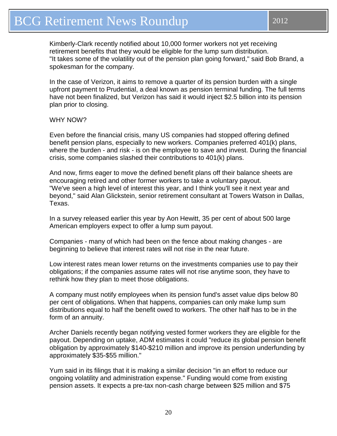Kimberly-Clark recently notified about 10,000 former workers not yet receiving retirement benefits that they would be eligible for the lump sum distribution. "It takes some of the volatility out of the pension plan going forward," said Bob Brand, a spokesman for the company.

In the case of Verizon, it aims to remove a quarter of its pension burden with a single upfront payment to Prudential, a deal known as pension terminal funding. The full terms have not been finalized, but Verizon has said it would inject \$2.5 billion into its pension plan prior to closing.

#### WHY NOW?

Even before the financial crisis, many US companies had stopped offering defined benefit pension plans, especially to new workers. Companies preferred 401(k) plans, where the burden - and risk - is on the employee to save and invest. During the financial crisis, some companies slashed their contributions to 401(k) plans.

And now, firms eager to move the defined benefit plans off their balance sheets are encouraging retired and other former workers to take a voluntary payout. "We've seen a high level of interest this year, and I think you'll see it next year and beyond," said Alan Glickstein, senior retirement consultant at Towers Watson in Dallas, Texas.

In a survey released earlier this year by Aon Hewitt, 35 per cent of about 500 large American employers expect to offer a lump sum payout.

Companies - many of which had been on the fence about making changes - are beginning to believe that interest rates will not rise in the near future.

Low interest rates mean lower returns on the investments companies use to pay their obligations; if the companies assume rates will not rise anytime soon, they have to rethink how they plan to meet those obligations.

A company must notify employees when its pension fund's asset value dips below 80 per cent of obligations. When that happens, companies can only make lump sum distributions equal to half the benefit owed to workers. The other half has to be in the form of an annuity.

Archer Daniels recently began notifying vested former workers they are eligible for the payout. Depending on uptake, ADM estimates it could "reduce its global pension benefit obligation by approximately \$140-\$210 million and improve its pension underfunding by approximately \$35-\$55 million."

Yum said in its filings that it is making a similar decision "in an effort to reduce our ongoing volatility and administration expense." Funding would come from existing pension assets. It expects a pre-tax non-cash charge between \$25 million and \$75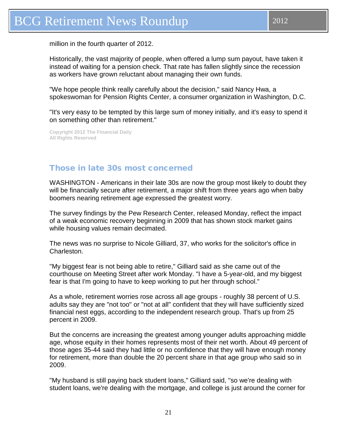<span id="page-20-0"></span>million in the fourth quarter of 2012.

Historically, the vast majority of people, when offered a lump sum payout, have taken it instead of waiting for a pension check. That rate has fallen slightly since the recession as workers have grown reluctant about managing their own funds.

"We hope people think really carefully about the decision," said Nancy Hwa, a spokeswoman for Pension Rights Center, a consumer organization in Washington, D.C.

"It's very easy to be tempted by this large sum of money initially, and it's easy to spend it on something other than retirement."

**Copyright 2012 The Financial Daily All Rights Reserved**

### Those in late 30s most concerned

WASHINGTON - Americans in their late 30s are now the group most likely to doubt they will be financially secure after retirement, a major shift from three years ago when baby boomers nearing retirement age expressed the greatest worry.

The survey findings by the Pew Research Center, released Monday, reflect the impact of a weak economic recovery beginning in 2009 that has shown stock market gains while housing values remain decimated.

The news was no surprise to Nicole Gilliard, 37, who works for the solicitor's office in Charleston.

"My biggest fear is not being able to retire," Gilliard said as she came out of the courthouse on Meeting Street after work Monday. "I have a 5-year-old, and my biggest fear is that I'm going to have to keep working to put her through school."

As a whole, retirement worries rose across all age groups - roughly 38 percent of U.S. adults say they are "not too" or "not at all" confident that they will have sufficiently sized financial nest eggs, according to the independent research group. That's up from 25 percent in 2009.

But the concerns are increasing the greatest among younger adults approaching middle age, whose equity in their homes represents most of their net worth. About 49 percent of those ages 35-44 said they had little or no confidence that they will have enough money for retirement, more than double the 20 percent share in that age group who said so in 2009.

"My husband is still paying back student loans," Gilliard said, "so we're dealing with student loans, we're dealing with the mortgage, and college is just around the corner for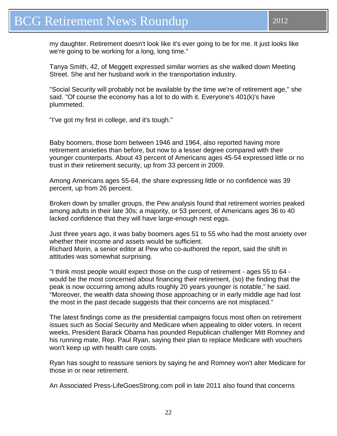my daughter. Retirement doesn't look like it's ever going to be for me. It just looks like we're going to be working for a long, long time."

Tanya Smith, 42, of Meggett expressed similar worries as she walked down Meeting Street. She and her husband work in the transportation industry.

"Social Security will probably not be available by the time we're of retirement age," she said. "Of course the economy has a lot to do with it. Everyone's 401(k)'s have plummeted.

"I've got my first in college, and it's tough."

Baby boomers, those born between 1946 and 1964, also reported having more retirement anxieties than before, but now to a lesser degree compared with their younger counterparts. About 43 percent of Americans ages 45-54 expressed little or no trust in their retirement security, up from 33 percent in 2009.

Among Americans ages 55-64, the share expressing little or no confidence was 39 percent, up from 26 percent.

Broken down by smaller groups, the Pew analysis found that retirement worries peaked among adults in their late 30s; a majority, or 53 percent, of Americans ages 36 to 40 lacked confidence that they will have large-enough nest eggs.

Just three years ago, it was baby boomers ages 51 to 55 who had the most anxiety over whether their income and assets would be sufficient. Richard Morin, a senior editor at Pew who co-authored the report, said the shift in attitudes was somewhat surprising.

"I think most people would expect those on the cusp of retirement - ages 55 to 64 would be the most concerned about financing their retirement, (so) the finding that the peak is now occurring among adults roughly 20 years younger is notable," he said. "Moreover, the wealth data showing those approaching or in early middle age had lost the most in the past decade suggests that their concerns are not misplaced."

The latest findings come as the presidential campaigns focus most often on retirement issues such as Social Security and Medicare when appealing to older voters. In recent weeks, President Barack Obama has pounded Republican challenger Mitt Romney and his running mate, Rep. Paul Ryan, saying their plan to replace Medicare with vouchers won't keep up with health care costs.

Ryan has sought to reassure seniors by saying he and Romney won't alter Medicare for those in or near retirement.

An Associated Press-LifeGoesStrong.com poll in late 2011 also found that concerns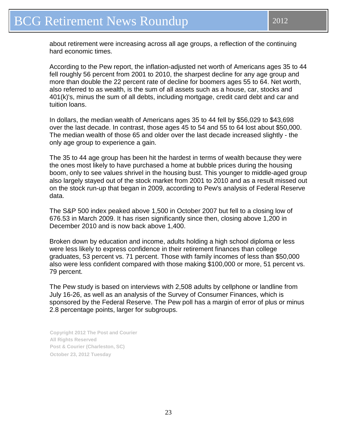about retirement were increasing across all age groups, a reflection of the continuing hard economic times.

According to the Pew report, the inflation-adjusted net worth of Americans ages 35 to 44 fell roughly 56 percent from 2001 to 2010, the sharpest decline for any age group and more than double the 22 percent rate of decline for boomers ages 55 to 64. Net worth, also referred to as wealth, is the sum of all assets such as a house, car, stocks and 401(k)'s, minus the sum of all debts, including mortgage, credit card debt and car and tuition loans.

In dollars, the median wealth of Americans ages 35 to 44 fell by \$56,029 to \$43,698 over the last decade. In contrast, those ages 45 to 54 and 55 to 64 lost about \$50,000. The median wealth of those 65 and older over the last decade increased slightly - the only age group to experience a gain.

The 35 to 44 age group has been hit the hardest in terms of wealth because they were the ones most likely to have purchased a home at bubble prices during the housing boom, only to see values shrivel in the housing bust. This younger to middle-aged group also largely stayed out of the stock market from 2001 to 2010 and as a result missed out on the stock run-up that began in 2009, according to Pew's analysis of Federal Reserve data.

The S&P 500 index peaked above 1,500 in October 2007 but fell to a closing low of 676.53 in March 2009. It has risen significantly since then, closing above 1,200 in December 2010 and is now back above 1,400.

Broken down by education and income, adults holding a high school diploma or less were less likely to express confidence in their retirement finances than college graduates, 53 percent vs. 71 percent. Those with family incomes of less than \$50,000 also were less confident compared with those making \$100,000 or more, 51 percent vs. 79 percent.

The Pew study is based on interviews with 2,508 adults by cellphone or landline from July 16-26, as well as an analysis of the Survey of Consumer Finances, which is sponsored by the Federal Reserve. The Pew poll has a margin of error of plus or minus 2.8 percentage points, larger for subgroups.

**Copyright 2012 The Post and Courier All Rights Reserved Post & Courier (Charleston, SC) October 23, 2012 Tuesday**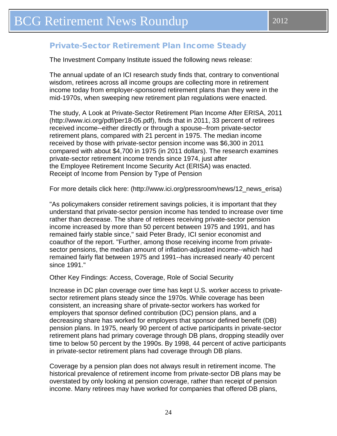### <span id="page-23-0"></span>Private-Sector Retirement Plan Income Steady

The Investment Company Institute issued the following news release:

The annual update of an ICI research study finds that, contrary to conventional wisdom, retirees across all income groups are collecting more in retirement income today from employer-sponsored retirement plans than they were in the mid-1970s, when sweeping new retirement plan regulations were enacted.

The study, A Look at Private-Sector Retirement Plan Income After ERISA, 2011 [\(http://www.ici.org/pdf/per18-05.pdf\)](http://www.ici.org/pdf/per18-05.pdf), finds that in 2011, 33 percent of retirees received income--either directly or through a spouse--from private-sector retirement plans, compared with 21 percent in 1975. The median income received by those with private-sector pension income was \$6,300 in 2011 compared with about \$4,700 in 1975 (in 2011 dollars). The research examines private-sector retirement income trends since 1974, just after the Employee Retirement Income Security Act (ERISA) was enacted. Receipt of Income from Pension by Type of Pension

For more details click here: [\(http://www.ici.org/pressroom/news/12\\_news\\_erisa\)](http://www.ici.org/pressroom/news/12_news_erisa)

"As policymakers consider retirement savings policies, it is important that they understand that private-sector pension income has tended to increase over time rather than decrease. The share of retirees receiving private-sector pension income increased by more than 50 percent between 1975 and 1991, and has remained fairly stable since," said Peter Brady, ICI senior economist and coauthor of the report. "Further, among those receiving income from privatesector pensions, the median amount of inflation-adjusted income--which had remained fairly flat between 1975 and 1991--has increased nearly 40 percent since 1991."

Other Key Findings: Access, Coverage, Role of Social Security

Increase in DC plan coverage over time has kept U.S. worker access to privatesector retirement plans steady since the 1970s. While coverage has been consistent, an increasing share of private-sector workers has worked for employers that sponsor defined contribution (DC) pension plans, and a decreasing share has worked for employers that sponsor defined benefit (DB) pension plans. In 1975, nearly 90 percent of active participants in private-sector retirement plans had primary coverage through DB plans, dropping steadily over time to below 50 percent by the 1990s. By 1998, 44 percent of active participants in private-sector retirement plans had coverage through DB plans.

Coverage by a pension plan does not always result in retirement income. The historical prevalence of retirement income from private-sector DB plans may be overstated by only looking at pension coverage, rather than receipt of pension income. Many retirees may have worked for companies that offered DB plans,